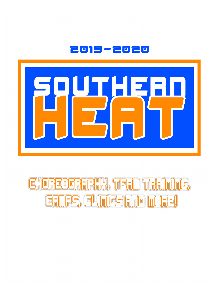



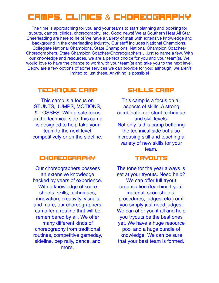# CAMPS, CLINICS & CHOREOGRAPHY

The time is approaching for you and your teams to start planning and booking for tryouts, camps, clinics, choreography, etc. Good news! We at Southern Heat All Star Cheerleading are here to help! We have a variety of staff with extensive knowledge and background in the cheerleading industry. Our staff includes National Champions, Collegiate National Champions, State Champions, National Champion Coaches/ Choreographers, State Champion Coaches/Choreographers….just to name a few. With our knowledge and resources, we are a perfect choice for you and your team(s). We would love to have the chance to work with your team(s) and take you to the next level. Below are a few options of some services we can provide for you; although, we aren't limited to just these. Anything is possible!

#### TECHNIQUE CAMP

This camp is a focus on STUNTS, JUMPS, MOTIONS, & TOSSES. With a sole focus on the technical side, this camp is designed to help take your team to the next level competitively or on the sideline.

### CHOREOGRAPHY

Our choreographers possess an extensive knowledge backed by years of experience. With a knowledge of score sheets, skills, techniques, innovation, creativity, visuals and more, our choreographers can offer a routine that will be remembered by all. We offer many different kinds of choreography from traditional routines, competitive gameday, sideline, pep rally, dance, and more.

#### SKILLS CAMP

This camp is a focus on all aspects of skills. A strong combination of stunt technique and skill levels. Not only is this camp bettering the technical side but also increasing skill and teaching a variety of new skills for your team.

#### TRYOUTS

The tone for the year always is set at your tryouts. Need help? We can offer full tryout organization (teaching tryout material, scoresheets, procedures, judges, etc.) or if you simply just need judges. We can offer you it all and help you tryouts be the best ones yet. We have a huge resource pool and a huge bundle of knowledge. We can be sure that your best team is formed.